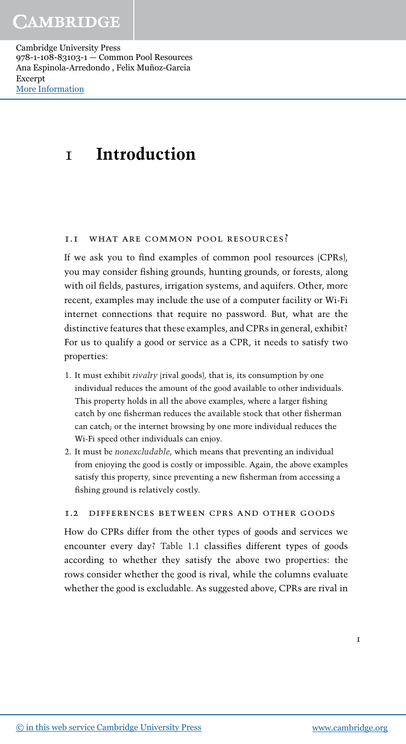# 1 **Introduction**

# 1.1 what are common pool resources?

If we ask you to find examples of common pool resources (CPRs), you may consider fishing grounds, hunting grounds, or forests, along with oil fields, pastures, irrigation systems, and aquifers. Other, more recent, examples may include the use of a computer facility or Wi-Fi internet connections that require no password. But, what are the distinctive features that these examples, and CPRs in general, exhibit? For us to qualify a good or service as a CPR, it needs to satisfy two properties:

- 1. It must exhibit *rivalry* (rival goods), that is, its consumption by one individual reduces the amount of the good available to other individuals. This property holds in all the above examples, where a larger fishing catch by one fisherman reduces the available stock that other fisherman can catch; or the internet browsing by one more individual reduces the Wi-Fi speed other individuals can enjoy.
- 2. It must be *nonexcludable*, which means that preventing an individual from enjoying the good is costly or impossible. Again, the above examples satisfy this property, since preventing a new fisherman from accessing a fishing ground is relatively costly.

# 1.2 differences between cprs and other goods

How do CPRs differ from the other types of goods and services we encounter every day? Table 1.1 classifies different types of goods according to whether they satisfy the above two properties: the rows consider whether the good is rival, while the columns evaluate whether the good is excludable. As suggested above, CPRs are rival in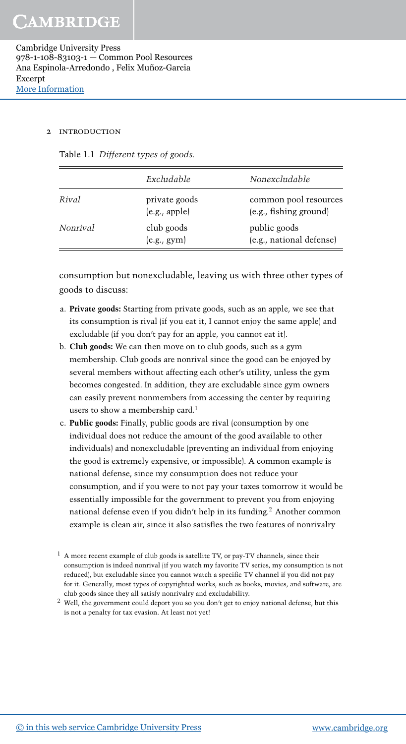#### 2 introduction

|  | Table 1.1 Different types of goods. |  |
|--|-------------------------------------|--|
|--|-------------------------------------|--|

|          | Excludable                     | Nonexcludable                                   |
|----------|--------------------------------|-------------------------------------------------|
| Rival    | private goods<br>(e.g., apple) | common pool resources<br>(e.g., fishing ground) |
| Nonrival | club goods<br>(e.g., gym)      | public goods<br>(e.g., national defense)        |

consumption but nonexcludable, leaving us with three other types of goods to discuss:

- a. **Private goods:** Starting from private goods, such as an apple, we see that its consumption is rival (if you eat it, I cannot enjoy the same apple) and excludable (if you don't pay for an apple, you cannot eat it).
- b. **Club goods:** We can then move on to club goods, such as a gym membership. Club goods are nonrival since the good can be enjoyed by several members without affecting each other's utility, unless the gym becomes congested. In addition, they are excludable since gym owners can easily prevent nonmembers from accessing the center by requiring users to show a membership card.<sup>1</sup>
- c. **Public goods:** Finally, public goods are rival (consumption by one individual does not reduce the amount of the good available to other individuals) and nonexcludable (preventing an individual from enjoying the good is extremely expensive, or impossible). A common example is national defense, since my consumption does not reduce your consumption, and if you were to not pay your taxes tomorrow it would be essentially impossible for the government to prevent you from enjoying national defense even if you didn't help in its funding.<sup>2</sup> Another common example is clean air, since it also satisfies the two features of nonrivalry
- <sup>1</sup> A more recent example of club goods is satellite TV, or pay-TV channels, since their consumption is indeed nonrival (if you watch my favorite TV series, my consumption is not reduced), but excludable since you cannot watch a specific TV channel if you did not pay for it. Generally, most types of copyrighted works, such as books, movies, and software, are club goods since they all satisfy nonrivalry and excludability.
- $2$  Well, the government could deport you so you don't get to enjoy national defense, but this is not a penalty for tax evasion. At least not yet!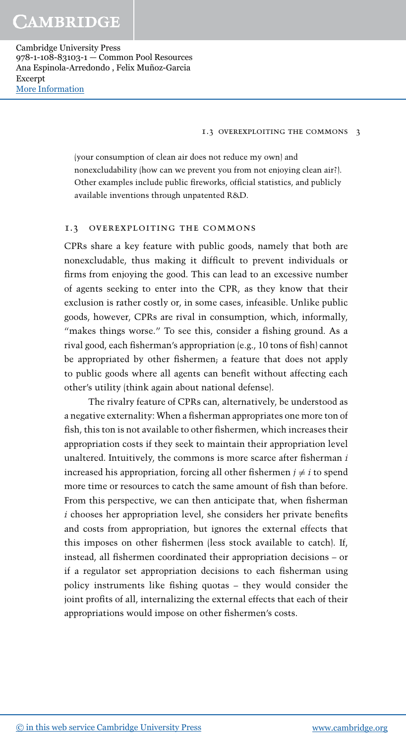#### 1.3 overexploiting the commons 3

(your consumption of clean air does not reduce my own) and nonexcludability (how can we prevent you from not enjoying clean air?). Other examples include public fireworks, official statistics, and publicly available inventions through unpatented R&D.

## 1.3 overexploiting the commons

CPRs share a key feature with public goods, namely that both are nonexcludable, thus making it difficult to prevent individuals or firms from enjoying the good. This can lead to an excessive number of agents seeking to enter into the CPR, as they know that their exclusion is rather costly or, in some cases, infeasible. Unlike public goods, however, CPRs are rival in consumption, which, informally, "makes things worse." To see this, consider a fishing ground. As a rival good, each fisherman's appropriation (e.g., 10 tons of fish) cannot be appropriated by other fishermen; a feature that does not apply to public goods where all agents can benefit without affecting each other's utility (think again about national defense).

The rivalry feature of CPRs can, alternatively, be understood as a negative externality: When a fisherman appropriates one more ton of fish, this ton is not available to other fishermen, which increases their appropriation costs if they seek to maintain their appropriation level unaltered. Intuitively, the commons is more scarce after fisherman *i* increased his appropriation, forcing all other fishermen  $j \neq i$  to spend more time or resources to catch the same amount of fish than before. From this perspective, we can then anticipate that, when fisherman *i* chooses her appropriation level, she considers her private benefits and costs from appropriation, but ignores the external effects that this imposes on other fishermen (less stock available to catch). If, instead, all fishermen coordinated their appropriation decisions – or if a regulator set appropriation decisions to each fisherman using policy instruments like fishing quotas – they would consider the joint profits of all, internalizing the external effects that each of their appropriations would impose on other fishermen's costs.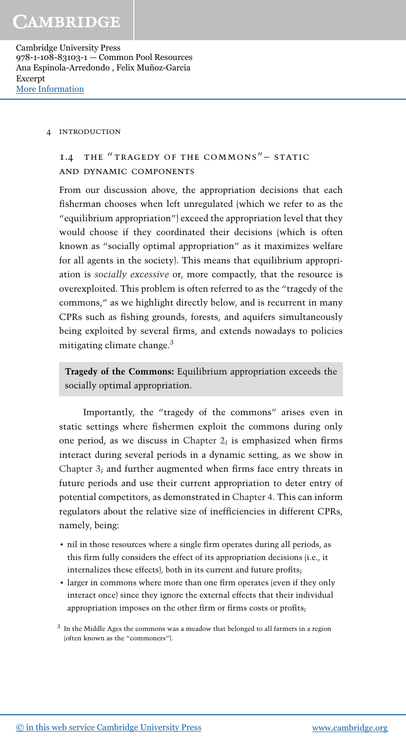#### 4 introduction

# 1.4 the " tragedy of the commons" – static and dynamic components

From our discussion above, the appropriation decisions that each fisherman chooses when left unregulated (which we refer to as the "equilibrium appropriation") exceed the appropriation level that they would choose if they coordinated their decisions (which is often known as "socially optimal appropriation" as it maximizes welfare for all agents in the society). This means that equilibrium appropriation is *socially excessive* or, more compactly, that the resource is overexploited. This problem is often referred to as the "tragedy of the commons," as we highlight directly below, and is recurrent in many CPRs such as fishing grounds, forests, and aquifers simultaneously being exploited by several firms, and extends nowadays to policies mitigating climate change. $3$ 

**Tragedy of the Commons:** Equilibrium appropriation exceeds the socially optimal appropriation.

Importantly, the "tragedy of the commons" arises even in static settings where fishermen exploit the commons during only one period, as we discuss in Chapter 2; is emphasized when firms interact during several periods in a dynamic setting, as we show in Chapter 3; and further augmented when firms face entry threats in future periods and use their current appropriation to deter entry of potential competitors, as demonstrated in Chapter 4. This can inform regulators about the relative size of inefficiencies in different CPRs, namely, being:

- nil in those resources where a single firm operates during all periods, as this firm fully considers the effect of its appropriation decisions (i.e., it internalizes these effects), both in its current and future profits;
- larger in commons where more than one firm operates (even if they only interact once) since they ignore the external effects that their individual appropriation imposes on the other firm or firms costs or profits;

 $3\,$  In the Middle Ages the commons was a meadow that belonged to all farmers in a region (often known as the "commoners").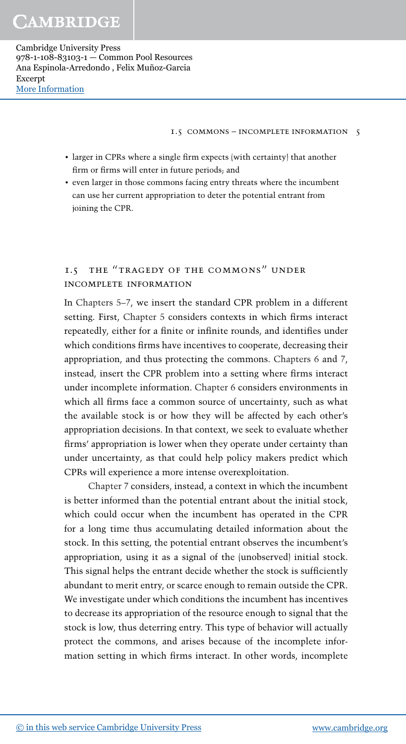1.5 commons – incomplete information 5

- larger in CPRs where a single firm expects (with certainty) that another firm or firms will enter in future periods; and
- even larger in those commons facing entry threats where the incumbent can use her current appropriation to deter the potential entrant from joining the CPR.

# 1.5 the "tragedy of the commons" under incomplete information

In Chapters 5–7, we insert the standard CPR problem in a different setting. First, Chapter 5 considers contexts in which firms interact repeatedly, either for a finite or infinite rounds, and identifies under which conditions firms have incentives to cooperate, decreasing their appropriation, and thus protecting the commons. Chapters 6 and 7, instead, insert the CPR problem into a setting where firms interact under incomplete information. Chapter 6 considers environments in which all firms face a common source of uncertainty, such as what the available stock is or how they will be affected by each other's appropriation decisions. In that context, we seek to evaluate whether firms' appropriation is lower when they operate under certainty than under uncertainty, as that could help policy makers predict which CPRs will experience a more intense overexploitation.

Chapter 7 considers, instead, a context in which the incumbent is better informed than the potential entrant about the initial stock, which could occur when the incumbent has operated in the CPR for a long time thus accumulating detailed information about the stock. In this setting, the potential entrant observes the incumbent's appropriation, using it as a signal of the (unobserved) initial stock. This signal helps the entrant decide whether the stock is sufficiently abundant to merit entry, or scarce enough to remain outside the CPR. We investigate under which conditions the incumbent has incentives to decrease its appropriation of the resource enough to signal that the stock is low, thus deterring entry. This type of behavior will actually protect the commons, and arises because of the incomplete information setting in which firms interact. In other words, incomplete